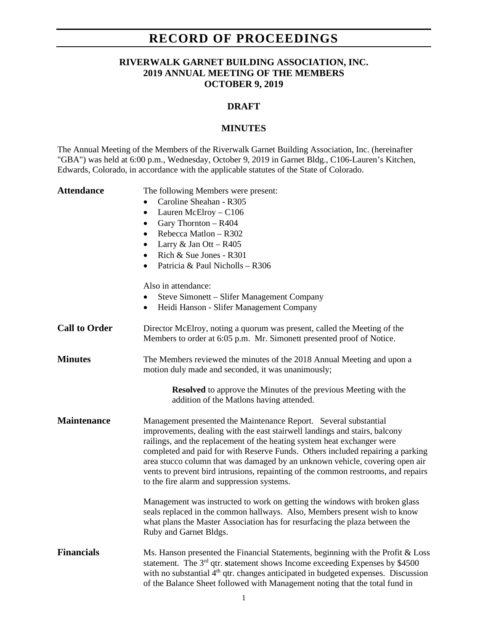## **RECORD OF PROCEEDINGS**

### **RIVERWALK GARNET BUILDING ASSOCIATION, INC. 2019 ANNUAL MEETING OF THE MEMBERS OCTOBER 9, 2019**

### **DRAFT**

#### **MINUTES**

The Annual Meeting of the Members of the Riverwalk Garnet Building Association, Inc. (hereinafter "GBA") was held at 6:00 p.m., Wednesday, October 9, 2019 in Garnet Bldg., C106-Lauren's Kitchen, Edwards, Colorado, in accordance with the applicable statutes of the State of Colorado.

| <b>Attendance</b>    | The following Members were present:<br>Caroline Sheahan - R305<br>Lauren McElroy - C106<br>$\bullet$<br>Gary Thornton - R404<br>$\bullet$<br>Rebecca Matlon - R302<br>$\bullet$<br>Larry $& Jan Ott - R405$<br>$\bullet$<br>Rich & Sue Jones - R301<br>$\bullet$<br>Patricia & Paul Nicholls - R306                                                                                                                                                                                                                            |
|----------------------|--------------------------------------------------------------------------------------------------------------------------------------------------------------------------------------------------------------------------------------------------------------------------------------------------------------------------------------------------------------------------------------------------------------------------------------------------------------------------------------------------------------------------------|
|                      | Also in attendance:                                                                                                                                                                                                                                                                                                                                                                                                                                                                                                            |
|                      | Steve Simonett – Slifer Management Company<br>Heidi Hanson - Slifer Management Company<br>٠                                                                                                                                                                                                                                                                                                                                                                                                                                    |
| <b>Call to Order</b> | Director McElroy, noting a quorum was present, called the Meeting of the<br>Members to order at 6:05 p.m. Mr. Simonett presented proof of Notice.                                                                                                                                                                                                                                                                                                                                                                              |
| <b>Minutes</b>       | The Members reviewed the minutes of the 2018 Annual Meeting and upon a<br>motion duly made and seconded, it was unanimously;                                                                                                                                                                                                                                                                                                                                                                                                   |
|                      | <b>Resolved</b> to approve the Minutes of the previous Meeting with the<br>addition of the Matlons having attended.                                                                                                                                                                                                                                                                                                                                                                                                            |
| <b>Maintenance</b>   | Management presented the Maintenance Report. Several substantial<br>improvements, dealing with the east stairwell landings and stairs, balcony<br>railings, and the replacement of the heating system heat exchanger were<br>completed and paid for with Reserve Funds. Others included repairing a parking<br>area stucco column that was damaged by an unknown vehicle, covering open air<br>vents to prevent bird intrusions, repainting of the common restrooms, and repairs<br>to the fire alarm and suppression systems. |
|                      | Management was instructed to work on getting the windows with broken glass<br>seals replaced in the common hallways. Also, Members present wish to know<br>what plans the Master Association has for resurfacing the plaza between the<br>Ruby and Garnet Bldgs.                                                                                                                                                                                                                                                               |
| <b>Financials</b>    | Ms. Hanson presented the Financial Statements, beginning with the Profit & Loss<br>statement. The $3rd$ qtr. statement shows Income exceeding Expenses by \$4500<br>with no substantial 4 <sup>th</sup> qtr. changes anticipated in budgeted expenses. Discussion<br>of the Balance Sheet followed with Management noting that the total fund in                                                                                                                                                                               |